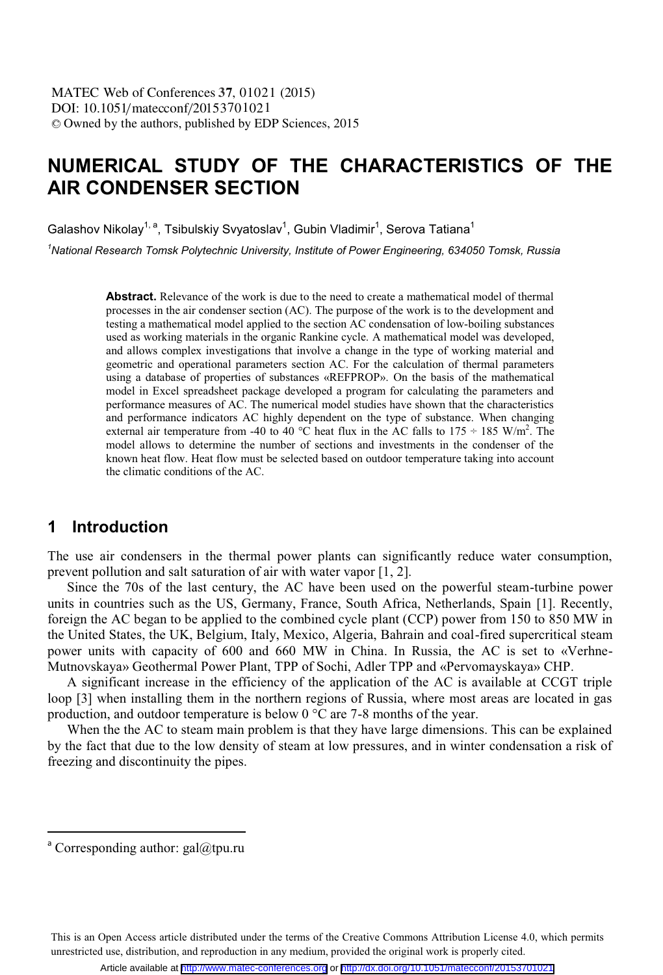# **NUMERICAL STUDY OF THE CHARACTERISTICS OF THE AIR CONDENSER SECTION**

Galashov Nikolav<sup>1, a</sup>. Tsibulskiv Svvatoslav<sup>1</sup>. Gubin Vladimir<sup>1</sup>. Serova Tatiana<sup>1</sup>

<sup>1</sup>National Research Tomsk Polytechnic University, Institute of Power Engineering, 634050 Tomsk, Russia *National Research Tomsk Polytechnic University, Institute of Power Engineering, 634050 Tomsk, Russia* 

> **Abstract.** Relevance of the work is due to the need to create a mathematical model of thermal processes in the air condenser section (AC). The purpose of the work is to the development and testing a mathematical model applied to the section AC condensation of low-boiling substances used as working materials in the organic Rankine cycle. A mathematical model was developed, and allows complex investigations that involve a change in the type of working material and geometric and operational parameters section AC. For the calculation of thermal parameters using a database of properties of substances «REFPROP». On the basis of the mathematical model in Excel spreadsheet package developed a program for calculating the parameters and performance measures of AC. The numerical model studies have shown that the characteristics and performance indicators AC highly dependent on the type of substance. When changing external air temperature from -40 to 40 °C heat flux in the AC falls to  $175 \div 185$  W/m<sup>2</sup>. The model allows to determine the number of sections and investments in the condenser of the known heat flow. Heat flow must be selected based on outdoor temperature taking into account the climatic conditions of the AC.

#### **1 Introduction**

The use air condensers in the thermal power plants can significantly reduce water consumption, prevent pollution and salt saturation of air with water vapor [1, 2].

Since the 70s of the last century, the AC have been used on the powerful steam-turbine power units in countries such as the US, Germany, France, South Africa, Netherlands, Spain [1]. Recently, foreign the AC began to be applied to the combined cycle plant (CCP) power from 150 to 850 MW in the United States, the UK, Belgium, Italy, Mexico, Algeria, Bahrain and coal-fired supercritical steam power units with capacity of 600 and 660 MW in China. In Russia, the AC is set to «Verhne-Mutnovskaya» Geothermal Power Plant, TPP of Sochi, Adler TPP and «Pervomayskaya» CHP.

A significant increase in the efficiency of the application of the AC is available at CCGT triple loop [3] when installing them in the northern regions of Russia, where most areas are located in gas production, and outdoor temperature is below 0 °C are 7-8 months of the year.

When the the AC to steam main problem is that they have large dimensions. This can be explained by the fact that due to the low density of steam at low pressures, and in winter condensation a risk of freezing and discontinuity the pipes.

 $\overline{a}$ 

This is an Open Access article distributed under the terms of the Creative Commons Attribution License 4.0, which permits unrestricted use, distribution, and reproduction in any medium, provided the original work is properly cited.

<sup>&</sup>lt;sup>a</sup> Corresponding author: gal@tpu.ru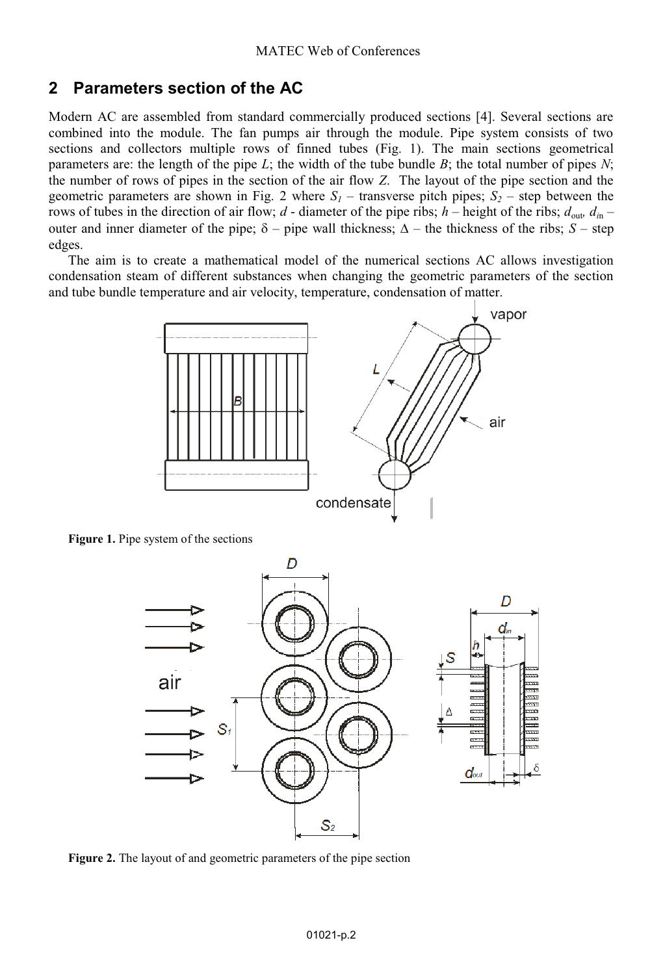### **2 Parameters section of the AC**

Modern AC are assembled from standard commercially produced sections [4]. Several sections are combined into the module. The fan pumps air through the module. Pipe system consists of two sections and collectors multiple rows of finned tubes (Fig. 1). The main sections geometrical parameters are: the length of the pipe *L*; the width of the tube bundle *B*; the total number of pipes *N*; the number of rows of pipes in the section of the air flow *Z*. The layout of the pipe section and the geometric parameters are shown in Fig. 2 where  $S_1$  – transverse pitch pipes;  $S_2$  – step between the rows of tubes in the direction of air flow;  $d$  - diameter of the pipe ribs;  $h$  – height of the ribs;  $d_{\text{out}}$ ,  $d_{\text{in}}$ outer and inner diameter of the pipe;  $\delta$  – pipe wall thickness;  $\Delta$  – the thickness of the ribs; *S* – step edges.

The aim is to create a mathematical model of the numerical sections AC allows investigation condensation steam of different substances when changing the geometric parameters of the section and tube bundle temperature and air velocity, temperature, condensation of matter.



**Figure 1.** Pipe system of the sections



**Figure 2.** The layout of and geometric parameters of the pipe section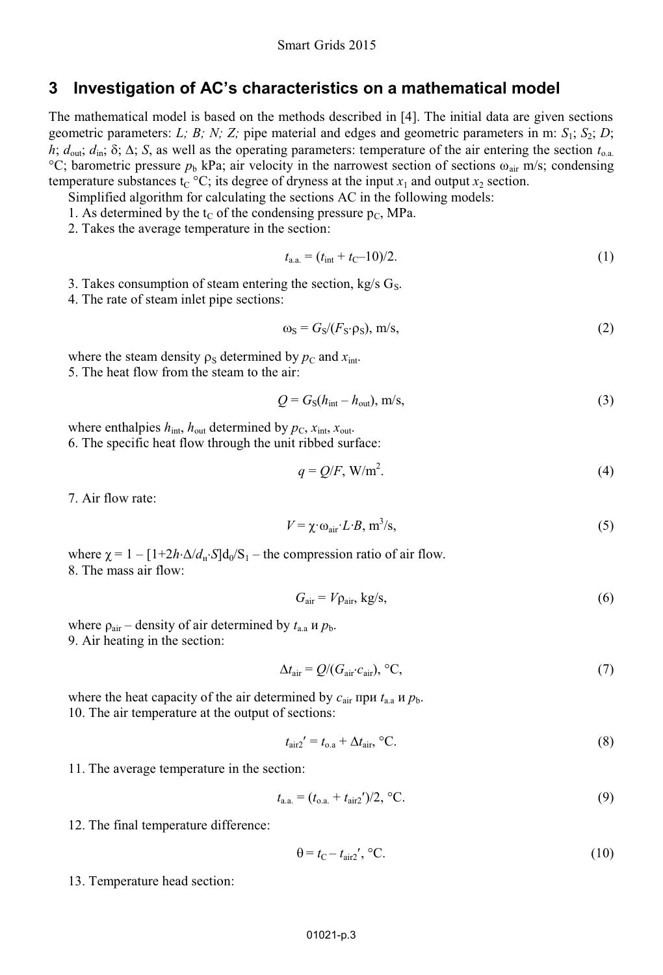#### **3 Investigation of AC's characteristics on a mathematical model**

The mathematical model is based on the methods described in [4]. The initial data are given sections geometric parameters: *L; B; N; Z;* pipe material and edges and geometric parameters in m:  $S_1$ ;  $S_2$ ; *D*;  $h$ ;  $d_{\text{out}}$ ;  $d_{\text{in}}$ ;  $\delta$ ;  $\Delta$ ;  $S$ , as well as the operating parameters: temperature of the air entering the section  $t_{0,a}$ . <sup>°</sup>C; barometric pressure  $p<sub>b</sub>$  kPa; air velocity in the narrowest section of sections  $\omega<sub>air</sub>$  m/s; condensing temperature substances  $t_C$  °C; its degree of dryness at the input  $x_1$  and output  $x_2$  section.

- Simplified algorithm for calculating the sections AC in the following models:
- 1. As determined by the  $t_C$  of the condensing pressure  $p_C$ , MPa.
- 2. Takes the average temperature in the section:

$$
t_{\rm a.a.} = (t_{\rm int} + t_{\rm C} - 10)/2. \tag{1}
$$

- 3. Takes consumption of steam entering the section, kg/s  $G_S$ .
- 4. The rate of steam inlet pipe sections:

$$
\omega_{\rm S} = G_{\rm S}/(F_{\rm S} \cdot \rho_{\rm S}), \, \text{m/s}, \tag{2}
$$

where the steam density  $\rho_s$  determined by  $p_c$  and  $x_{int}$ . 5. The heat flow from the steam to the air:

$$
Q = GS(hint - hout), m/s,
$$
\n(3)

where enthalpies  $h_{\text{int}}$ ,  $h_{\text{out}}$  determined by  $p_{\text{C}}$ ,  $x_{\text{int}}$ ,  $x_{\text{out}}$ . 6. The specific heat flow through the unit ribbed surface:

$$
q = Q/F, \, W/m^2. \tag{4}
$$

7. Air flow rate:

$$
V = \chi \cdot \omega_{\text{air}} \cdot L \cdot B, \, \text{m}^3/\text{s},\tag{5}
$$

where  $\gamma = 1 - [1 + 2h \cdot \Delta/d_{\rm H} \cdot S]d_0/S_1$  – the compression ratio of air flow. 8. The mass air flow:

$$
G_{\text{air}} = V \rho_{\text{air}}, \text{ kg/s},\tag{6}
$$

where  $\rho_{\text{air}}$  – density of air determined by  $t_{\text{a.a}}$  *u*  $p_{\text{b}}$ . 9. Air heating in the section:

$$
\Delta t_{\text{air}} = Q / (G_{\text{air}} \cdot c_{\text{air}}), \,^{\circ}C,\tag{7}
$$

where the heat capacity of the air determined by  $c_{\text{air}}$  при  $t_{\text{a.a}}$  и  $p_{\text{b}}$ . 10. The air temperature at the output of sections:

$$
t_{\rm air2}' = t_{\rm o.a} + \Delta t_{\rm air}, \,^{\circ}\text{C}.\tag{8}
$$

11. The average temperature in the section:

$$
t_{\rm a.a.} = (t_{\rm o.a.} + t_{\rm air2})/2, {\rm ^{\circ}C}.
$$
 (9)

12. The final temperature difference:

$$
\theta = t_{\rm C} - t_{\rm air2}', \, ^{\circ}\text{C}.\tag{10}
$$

13. Temperature head section: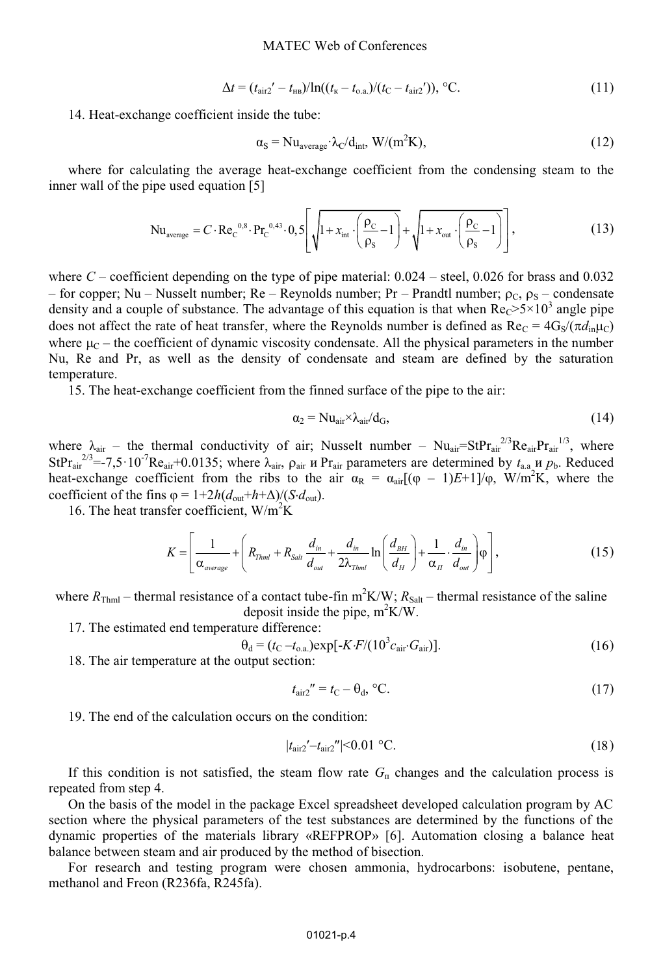$$
\Delta t = (t_{\text{air2}}' - t_{\text{HB}}) / \ln((t_{\text{K}} - t_{\text{o.a.}}) / (t_{\text{C}} - t_{\text{air2}}')), \text{ }^{\circ}\text{C}.
$$
\n(11)

14. Heat-exchange coefficient inside the tube:

$$
\alpha_{\rm S} = N u_{\rm average} \cdot \lambda_{\rm C} / d_{\rm int}, \ W / (m^2 K), \tag{12}
$$

where for calculating the average heat-exchange coefficient from the condensing steam to the inner wall of the pipe used equation [5]

$$
Nu_{\text{average}} = C \cdot Re_{C}^{0.8} \cdot Pr_{C}^{0.43} \cdot 0.5 \left[ \sqrt{1 + x_{\text{int}} \cdot \left( \frac{\rho_{C}}{\rho_{S}} - 1 \right)} + \sqrt{1 + x_{\text{out}} \cdot \left( \frac{\rho_{C}}{\rho_{S}} - 1 \right)} \right],
$$
(13)

where *C* – coefficient depending on the type of pipe material: 0.024 – steel, 0.026 for brass and 0.032 – for copper; Nu – Nusselt number; Re – Reynolds number; Pr – Prandtl number;  $\rho_c$ ,  $\rho_s$  – condensate density and a couple of substance. The advantage of this equation is that when  $Re<sub>c</sub>>5×10<sup>3</sup>$  angle pipe does not affect the rate of heat transfer, where the Reynolds number is defined as  $Re_C = 4G_S/(\pi d_{in} \mu_C)$ where  $\mu_C$  – the coefficient of dynamic viscosity condensate. All the physical parameters in the number Nu, Re and Pr, as well as the density of condensate and steam are defined by the saturation temperature.

15. The heat-exchange coefficient from the finned surface of the pipe to the air:

$$
\alpha_2 = Nu_{\text{air}} \times \lambda_{\text{air}} / d_G,
$$
\n(14)

where  $\lambda_{air}$  – the thermal conductivity of air; Nusselt number –  $Nu_{air} = StPr_{air}^{2/3}Re_{air}Pr_{air}^{1/3}$ , where StPr<sub>air</sub><sup>2/3</sup>=-7,5·10<sup>-7</sup>Re<sub>air</sub>+0.0135; where  $\lambda_{air}$ ,  $\rho_{air}$  *u* Pr<sub>air</sub> parameters are determined by  $t_{a.a}$  *u*  $p_b$ . Reduced heat-exchange coefficient from the ribs to the air  $\alpha_R = \alpha_{air}[(\varphi - 1)E + 1]/\varphi$ , W/m<sup>2</sup>K, where the coefficient of the fins  $\varphi = 1 + 2h(d_{\text{out}} + h + \Delta)/(S \cdot d_{\text{out}})$ .

16. The heat transfer coefficient,  $W/m^2K$ 

$$
K = \left[\frac{1}{\alpha_{\text{average}}} + \left(R_{\text{Thm1}} + R_{\text{Salt}}\frac{d_{\text{in}}}{d_{\text{out}}} + \frac{d_{\text{in}}}{2\lambda_{\text{Thm1}}} \ln\left(\frac{d_{\text{BH}}}{d_{\text{H}}}\right) + \frac{1}{\alpha_{\text{H}}} \cdot \frac{d_{\text{in}}}{d_{\text{out}}}\right) \varphi\right],\tag{15}
$$

where  $R_{\text{Thml}}$  – thermal resistance of a contact tube-fin  $m^2K/W$ ;  $R_{\text{Salt}}$  – thermal resistance of the saline deposit inside the pipe,  $m^2K/W$ .

17. The estimated end temperature difference:

$$
\theta_{\rm d} = (t_{\rm C} - t_{\rm o.a.}) \exp[-K \cdot F / (10^3 c_{\rm air} \cdot G_{\rm air})]. \tag{16}
$$

18. The air temperature at the output section:

$$
t_{\text{air2}}^{\prime\prime} = t_{\text{C}} - \theta_{\text{d}}, \text{°C}.\tag{17}
$$

19. The end of the calculation occurs on the condition:

$$
|t_{\text{air2}}' - t_{\text{air2}}''| < 0.01 \, \text{°C}.\tag{18}
$$

If this condition is not satisfied, the steam flow rate  $G<sub>n</sub>$  changes and the calculation process is repeated from step 4.

On the basis of the model in the package Excel spreadsheet developed calculation program by AC section where the physical parameters of the test substances are determined by the functions of the dynamic properties of the materials library «REFPROP» [6]. Automation closing a balance heat balance between steam and air produced by the method of bisection.

For research and testing program were chosen ammonia, hydrocarbons: isobutene, pentane, methanol and Freon (R236fa, R245fa).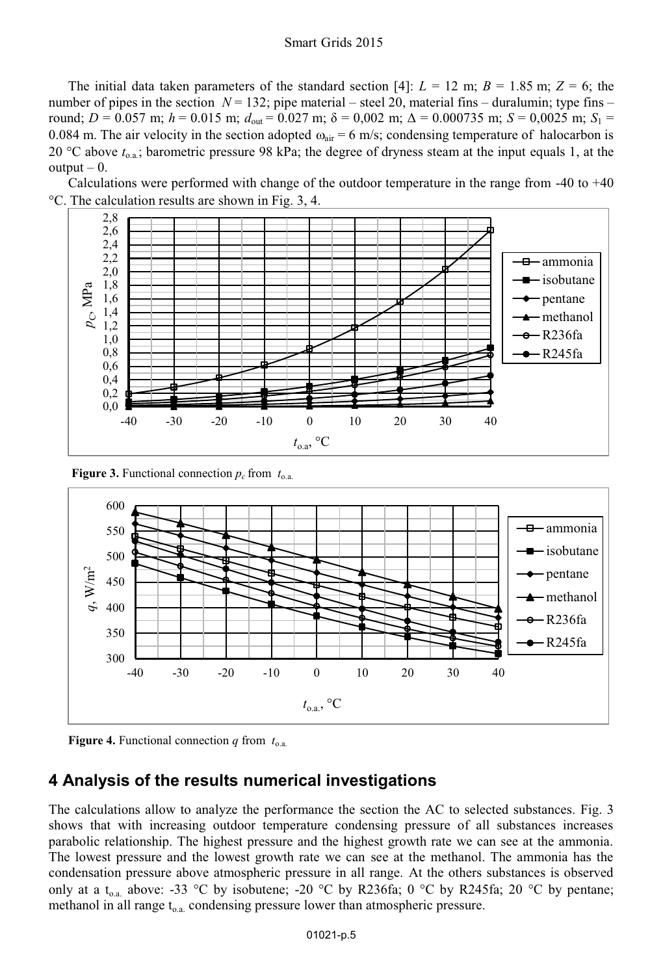The initial data taken parameters of the standard section [4]:  $L = 12$  m;  $B = 1.85$  m;  $Z = 6$ ; the number of pipes in the section  $N = 132$ ; pipe material – steel 20, material fins – duralumin; type fins – round;  $D = 0.057$  m;  $h = 0.015$  m;  $d_{\text{out}} = 0.027$  m;  $\delta = 0.002$  m;  $\Delta = 0.000735$  m;  $S = 0.0025$  m;  $S_1 =$ 0.084 m. The air velocity in the section adopted  $\omega_{air} = 6$  m/s; condensing temperature of halocarbon is 20 °C above  $t_{0,a}$ ; barometric pressure 98 kPa; the degree of dryness steam at the input equals 1, at the output  $-0$ .

Calculations were performed with change of the outdoor temperature in the range from -40 to +40 С. The calculation results are shown in Fig. 3, 4.



**Figure 3.** Functional connection  $p_c$  from  $t_{0,a}$ .





### **4 Analysis of the results numerical investigations**

The calculations allow to analyze the performance the section the AC to selected substances. Fig. 3 shows that with increasing outdoor temperature condensing pressure of all substances increases parabolic relationship. The highest pressure and the highest growth rate we can see at the ammonia. The lowest pressure and the lowest growth rate we can see at the methanol. The ammonia has the condensation pressure above atmospheric pressure in all range. At the others substances is observed only at a t<sub>o.a.</sub> above: -33 °C by isobutene; -20 °C by R236fa; 0 °C by R245fa; 20 °C by pentane; methanol in all range  $t_{o.a.}$  condensing pressure lower than atmospheric pressure.